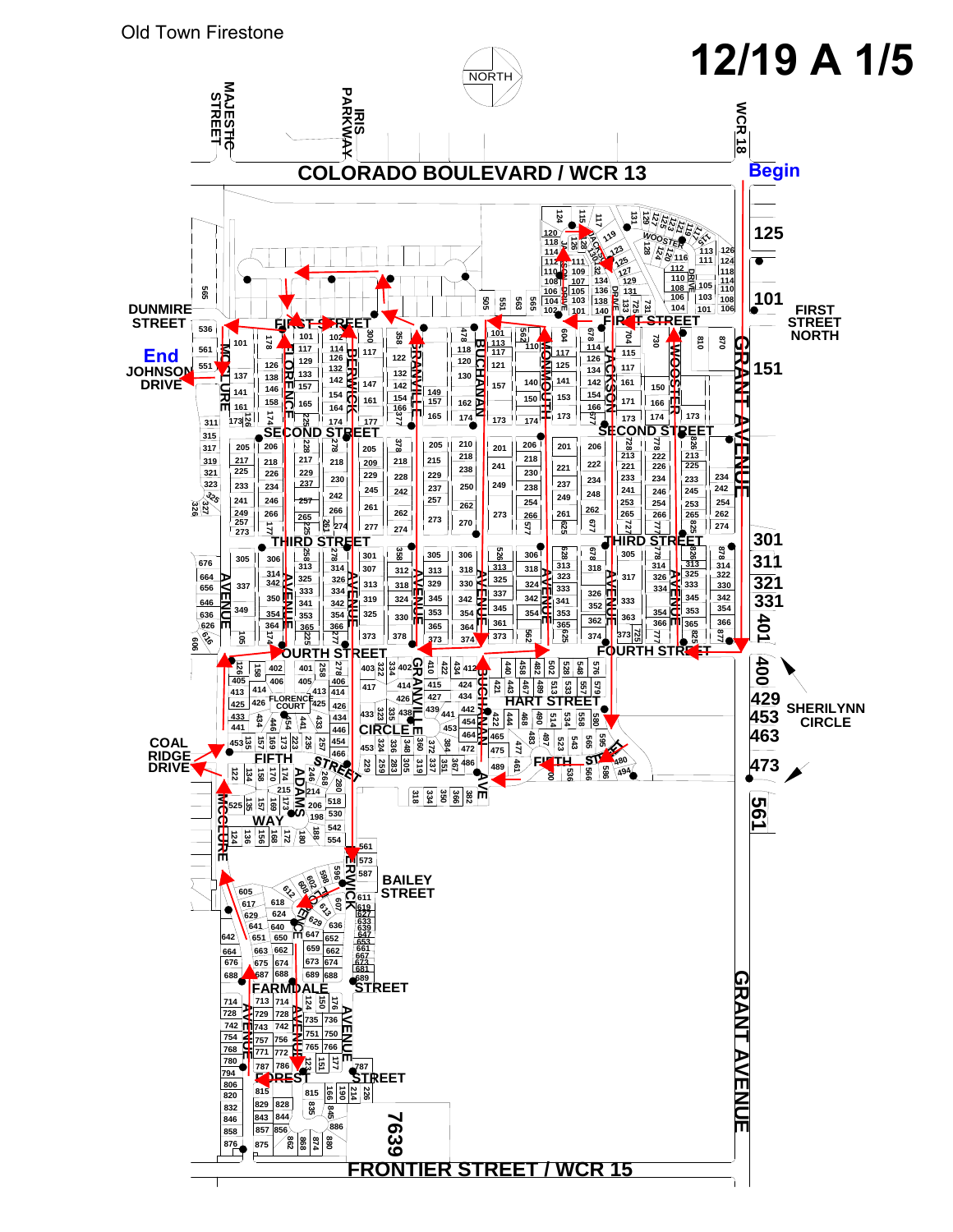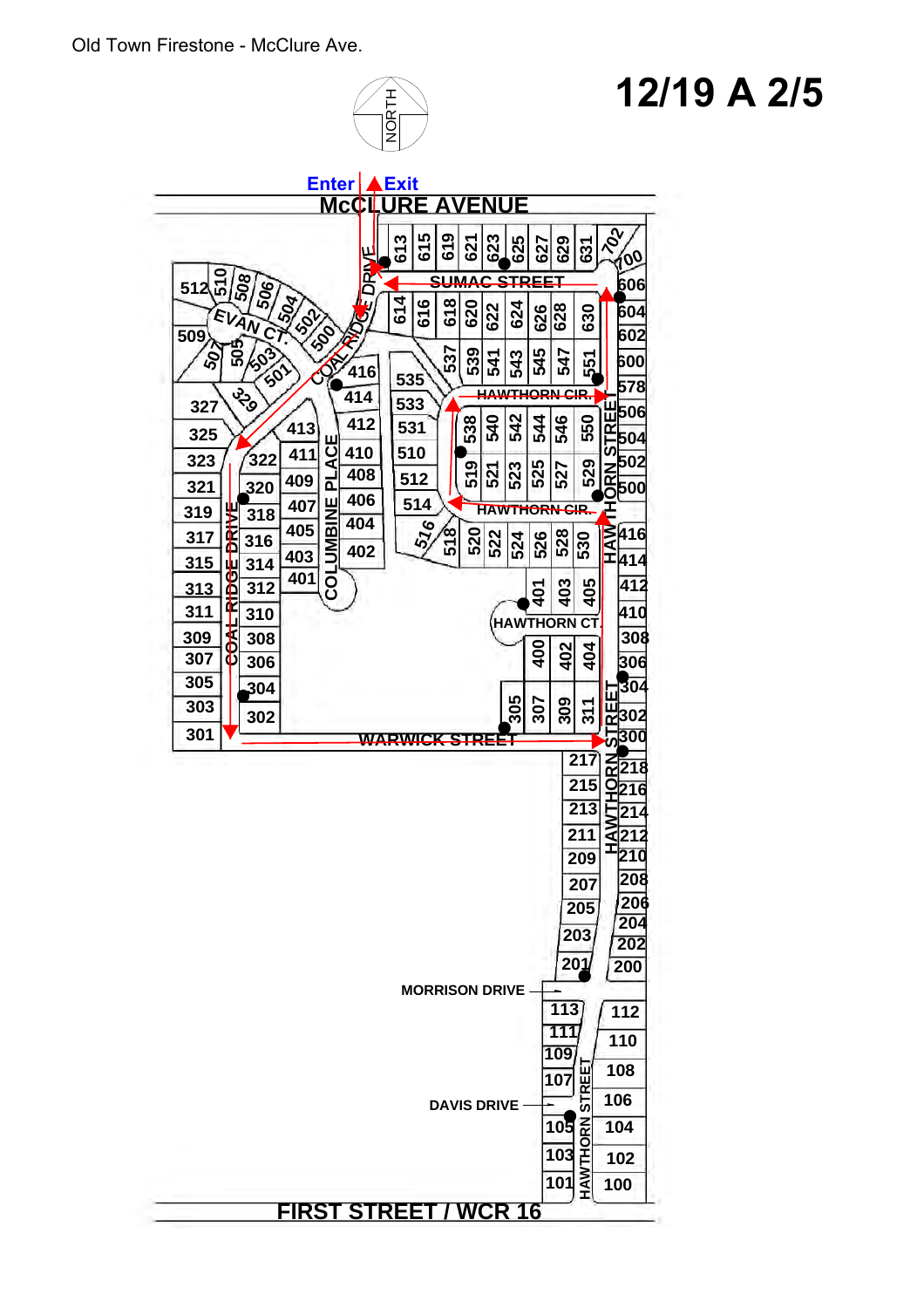

### **12/19 A 2/5**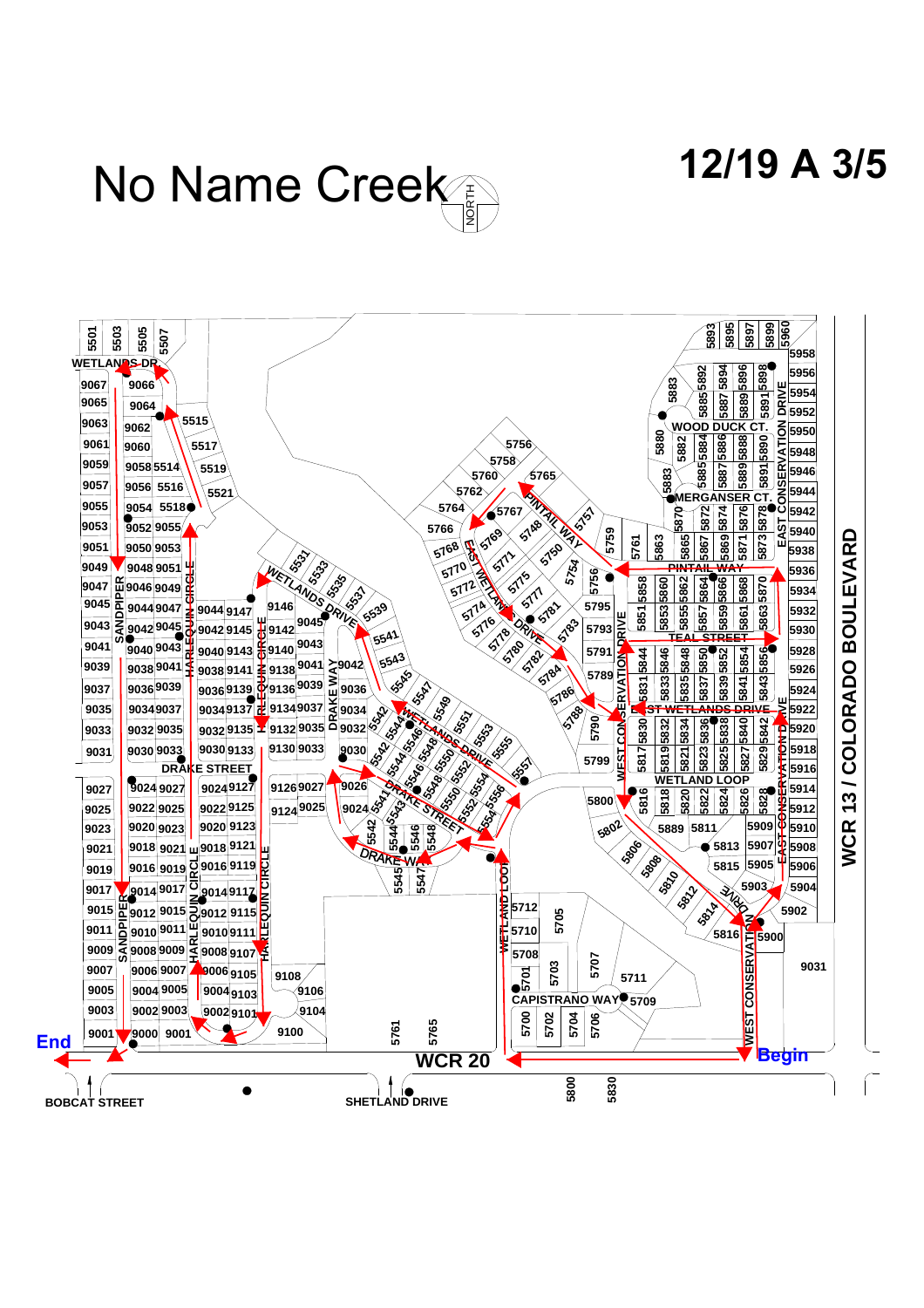**12/19 A 3/5**

# No Name Creek

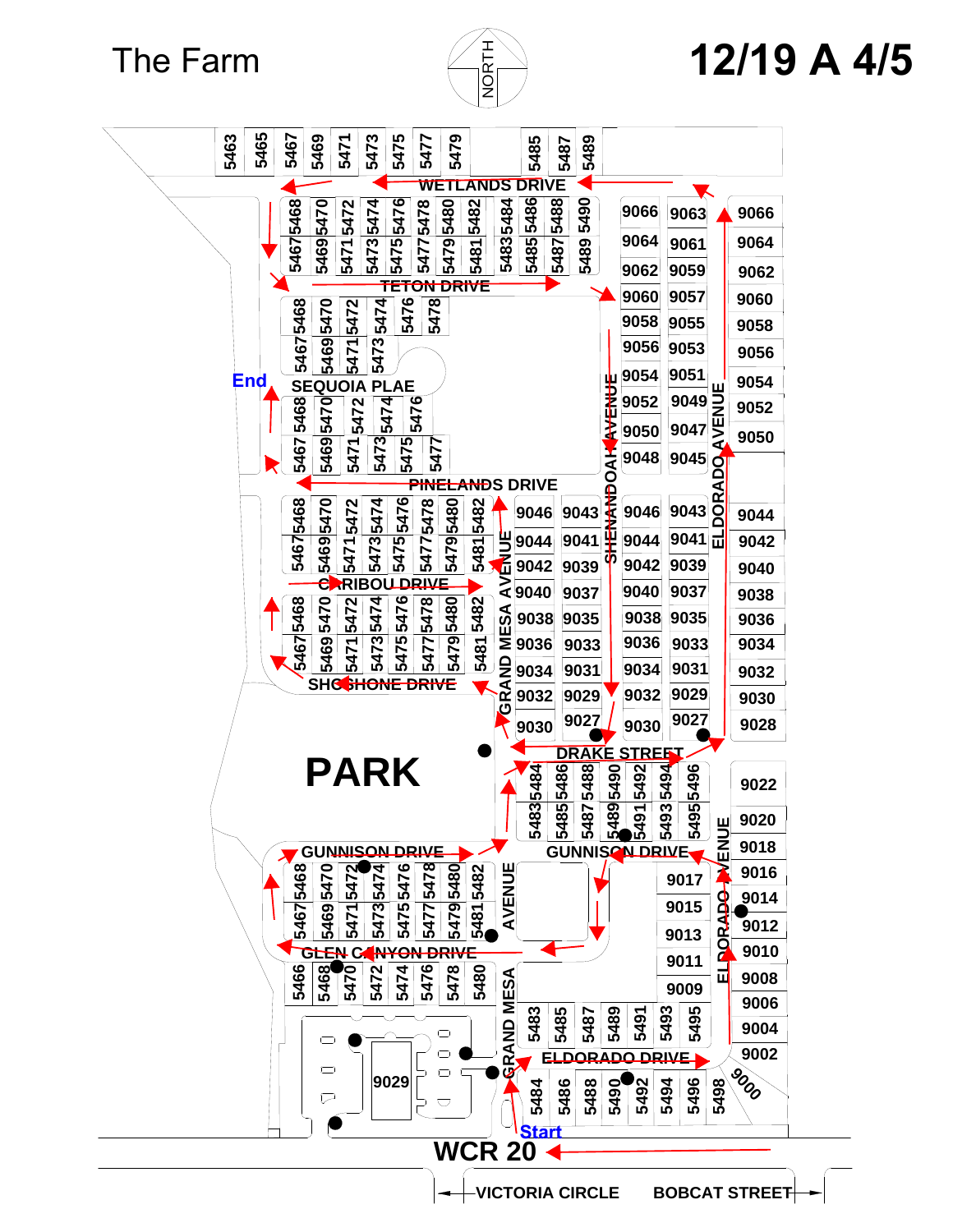The Farm



# **12/19 A 4/5**